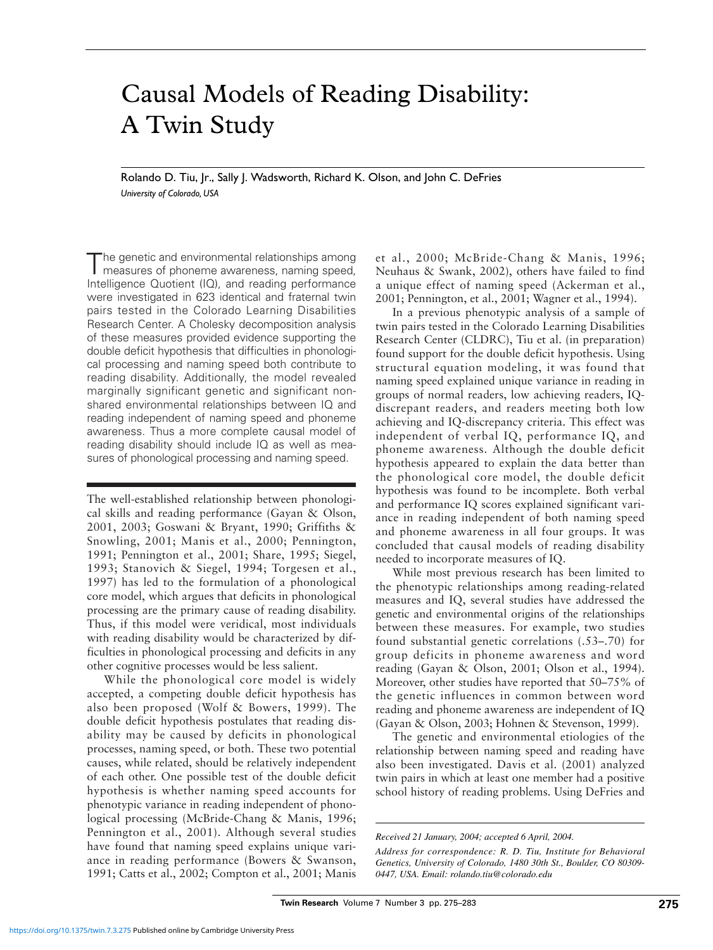# Causal Models of Reading Disability: A Twin Study

Rolando D. Tiu, Jr., Sally J. Wadsworth, Richard K. Olson, and John C. DeFries *University of Colorado, USA*

The genetic and environmental relationships among measures of phoneme awareness, naming speed, Intelligence Quotient (IQ), and reading performance were investigated in 623 identical and fraternal twin pairs tested in the Colorado Learning Disabilities Research Center. A Cholesky decomposition analysis of these measures provided evidence supporting the double deficit hypothesis that difficulties in phonological processing and naming speed both contribute to reading disability. Additionally, the model revealed marginally significant genetic and significant nonshared environmental relationships between IQ and reading independent of naming speed and phoneme awareness. Thus a more complete causal model of reading disability should include IQ as well as measures of phonological processing and naming speed.

The well-established relationship between phonological skills and reading performance (Gayan & Olson, 2001, 2003; Goswani & Bryant, 1990; Griffiths & Snowling, 2001; Manis et al., 2000; Pennington, 1991; Pennington et al., 2001; Share, 1995; Siegel, 1993; Stanovich & Siegel, 1994; Torgesen et al., 1997) has led to the formulation of a phonological core model, which argues that deficits in phonological processing are the primary cause of reading disability. Thus, if this model were veridical, most individuals with reading disability would be characterized by difficulties in phonological processing and deficits in any other cognitive processes would be less salient.

While the phonological core model is widely accepted, a competing double deficit hypothesis has also been proposed (Wolf & Bowers, 1999). The double deficit hypothesis postulates that reading disability may be caused by deficits in phonological processes, naming speed, or both. These two potential causes, while related, should be relatively independent of each other. One possible test of the double deficit hypothesis is whether naming speed accounts for phenotypic variance in reading independent of phonological processing (McBride-Chang & Manis, 1996; Pennington et al., 2001). Although several studies have found that naming speed explains unique variance in reading performance (Bowers & Swanson, 1991; Catts et al., 2002; Compton et al., 2001; Manis

et al., 2000; McBride-Chang & Manis, 1996; Neuhaus & Swank, 2002), others have failed to find a unique effect of naming speed (Ackerman et al., 2001; Pennington, et al., 2001; Wagner et al., 1994).

In a previous phenotypic analysis of a sample of twin pairs tested in the Colorado Learning Disabilities Research Center (CLDRC), Tiu et al. (in preparation) found support for the double deficit hypothesis. Using structural equation modeling, it was found that naming speed explained unique variance in reading in groups of normal readers, low achieving readers, IQdiscrepant readers, and readers meeting both low achieving and IQ-discrepancy criteria. This effect was independent of verbal IQ, performance IQ, and phoneme awareness. Although the double deficit hypothesis appeared to explain the data better than the phonological core model, the double deficit hypothesis was found to be incomplete. Both verbal and performance IQ scores explained significant variance in reading independent of both naming speed and phoneme awareness in all four groups. It was concluded that causal models of reading disability needed to incorporate measures of IQ.

While most previous research has been limited to the phenotypic relationships among reading-related measures and IQ, several studies have addressed the genetic and environmental origins of the relationships between these measures. For example, two studies found substantial genetic correlations (.53–.70) for group deficits in phoneme awareness and word reading (Gayan & Olson, 2001; Olson et al., 1994). Moreover, other studies have reported that 50–75% of the genetic influences in common between word reading and phoneme awareness are independent of IQ (Gayan & Olson, 2003; Hohnen & Stevenson, 1999).

The genetic and environmental etiologies of the relationship between naming speed and reading have also been investigated. Davis et al. (2001) analyzed twin pairs in which at least one member had a positive school history of reading problems. Using DeFries and

*Received 21 January, 2004; accepted 6 April, 2004.*

*Address for correspondence: R. D. Tiu, Institute for Behavioral Genetics, University of Colorado, 1480 30th St., Boulder, CO 80309- 0447, USA. Email: rolando.tiu@colorado.edu*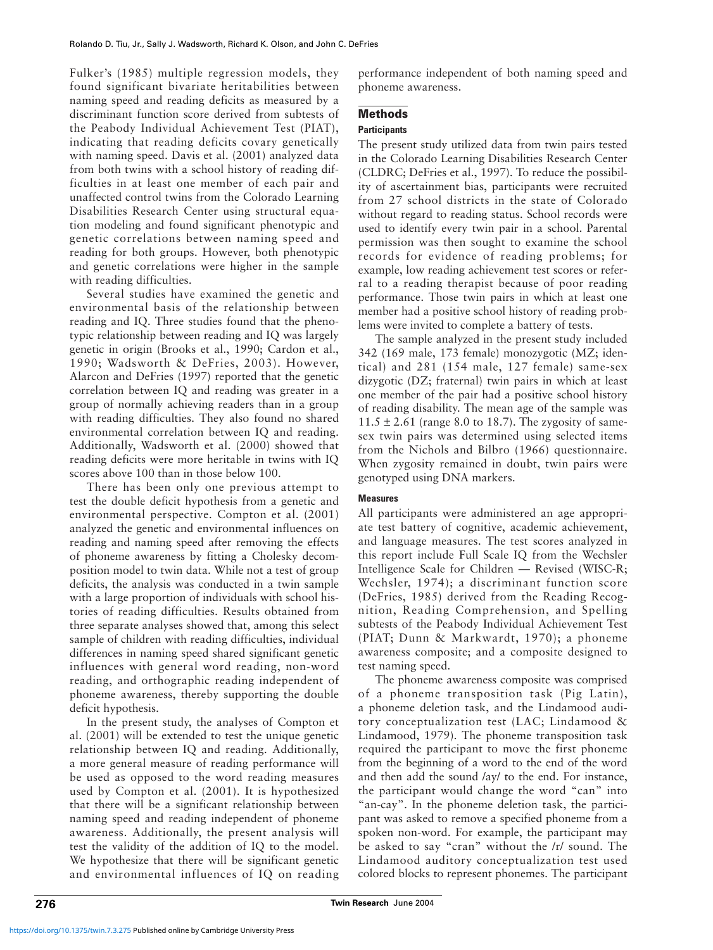Fulker's (1985) multiple regression models, they found significant bivariate heritabilities between naming speed and reading deficits as measured by a discriminant function score derived from subtests of the Peabody Individual Achievement Test (PIAT), indicating that reading deficits covary genetically with naming speed. Davis et al. (2001) analyzed data from both twins with a school history of reading difficulties in at least one member of each pair and unaffected control twins from the Colorado Learning Disabilities Research Center using structural equation modeling and found significant phenotypic and genetic correlations between naming speed and reading for both groups. However, both phenotypic and genetic correlations were higher in the sample with reading difficulties.

Several studies have examined the genetic and environmental basis of the relationship between reading and IQ. Three studies found that the phenotypic relationship between reading and IQ was largely genetic in origin (Brooks et al., 1990; Cardon et al., 1990; Wadsworth & DeFries, 2003). However, Alarcon and DeFries (1997) reported that the genetic correlation between IQ and reading was greater in a group of normally achieving readers than in a group with reading difficulties. They also found no shared environmental correlation between IQ and reading. Additionally, Wadsworth et al. (2000) showed that reading deficits were more heritable in twins with IQ scores above 100 than in those below 100.

There has been only one previous attempt to test the double deficit hypothesis from a genetic and environmental perspective. Compton et al. (2001) analyzed the genetic and environmental influences on reading and naming speed after removing the effects of phoneme awareness by fitting a Cholesky decomposition model to twin data. While not a test of group deficits, the analysis was conducted in a twin sample with a large proportion of individuals with school histories of reading difficulties. Results obtained from three separate analyses showed that, among this select sample of children with reading difficulties, individual differences in naming speed shared significant genetic influences with general word reading, non-word reading, and orthographic reading independent of phoneme awareness, thereby supporting the double deficit hypothesis.

In the present study, the analyses of Compton et al. (2001) will be extended to test the unique genetic relationship between IQ and reading. Additionally, a more general measure of reading performance will be used as opposed to the word reading measures used by Compton et al. (2001). It is hypothesized that there will be a significant relationship between naming speed and reading independent of phoneme awareness. Additionally, the present analysis will test the validity of the addition of IQ to the model. We hypothesize that there will be significant genetic and environmental influences of IQ on reading performance independent of both naming speed and phoneme awareness.

# **Methods**

## **Participants**

The present study utilized data from twin pairs tested in the Colorado Learning Disabilities Research Center (CLDRC; DeFries et al., 1997). To reduce the possibility of ascertainment bias, participants were recruited from 27 school districts in the state of Colorado without regard to reading status. School records were used to identify every twin pair in a school. Parental permission was then sought to examine the school records for evidence of reading problems; for example, low reading achievement test scores or referral to a reading therapist because of poor reading performance. Those twin pairs in which at least one member had a positive school history of reading problems were invited to complete a battery of tests.

The sample analyzed in the present study included 342 (169 male, 173 female) monozygotic (MZ; identical) and 281 (154 male, 127 female) same-sex dizygotic (DZ; fraternal) twin pairs in which at least one member of the pair had a positive school history of reading disability. The mean age of the sample was  $11.5 \pm 2.61$  (range 8.0 to 18.7). The zygosity of samesex twin pairs was determined using selected items from the Nichols and Bilbro (1966) questionnaire. When zygosity remained in doubt, twin pairs were genotyped using DNA markers.

#### **Measures**

All participants were administered an age appropriate test battery of cognitive, academic achievement, and language measures. The test scores analyzed in this report include Full Scale IQ from the Wechsler Intelligence Scale for Children — Revised (WISC-R; Wechsler, 1974); a discriminant function score (DeFries, 1985) derived from the Reading Recognition, Reading Comprehension, and Spelling subtests of the Peabody Individual Achievement Test (PIAT; Dunn & Markwardt, 1970); a phoneme awareness composite; and a composite designed to test naming speed.

The phoneme awareness composite was comprised of a phoneme transposition task (Pig Latin), a phoneme deletion task, and the Lindamood auditory conceptualization test (LAC; Lindamood & Lindamood, 1979). The phoneme transposition task required the participant to move the first phoneme from the beginning of a word to the end of the word and then add the sound /ay/ to the end. For instance, the participant would change the word "can" into "an-cay". In the phoneme deletion task, the participant was asked to remove a specified phoneme from a spoken non-word. For example, the participant may be asked to say "cran" without the /r/ sound. The Lindamood auditory conceptualization test used colored blocks to represent phonemes. The participant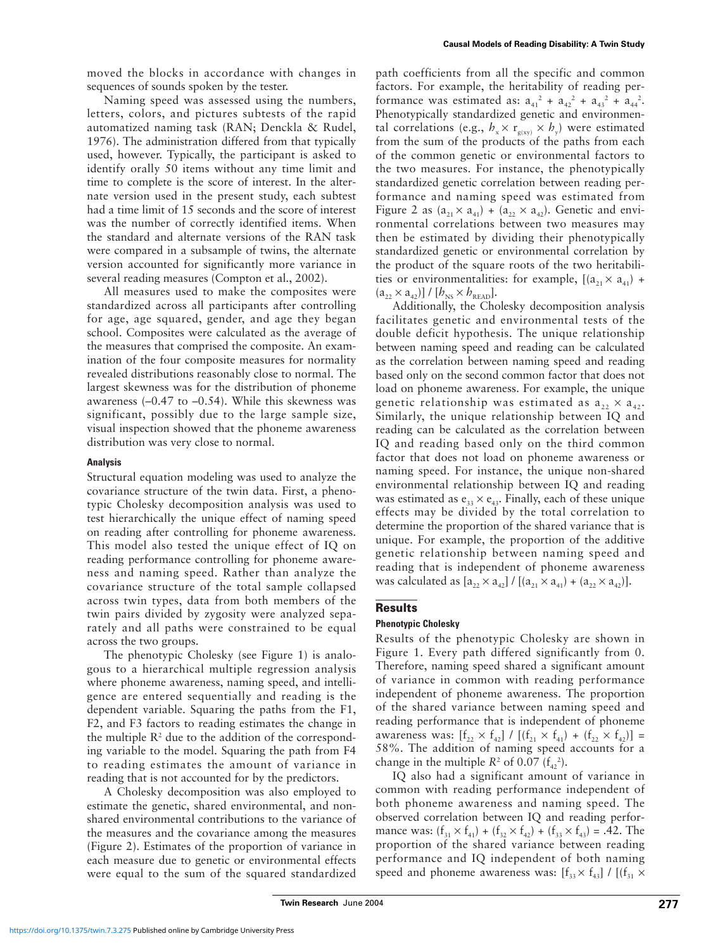moved the blocks in accordance with changes in sequences of sounds spoken by the tester.

Naming speed was assessed using the numbers, letters, colors, and pictures subtests of the rapid automatized naming task (RAN; Denckla & Rudel, 1976). The administration differed from that typically used, however. Typically, the participant is asked to identify orally 50 items without any time limit and time to complete is the score of interest. In the alternate version used in the present study, each subtest had a time limit of 15 seconds and the score of interest was the number of correctly identified items. When the standard and alternate versions of the RAN task were compared in a subsample of twins, the alternate version accounted for significantly more variance in several reading measures (Compton et al., 2002).

All measures used to make the composites were standardized across all participants after controlling for age, age squared, gender, and age they began school. Composites were calculated as the average of the measures that comprised the composite. An examination of the four composite measures for normality revealed distributions reasonably close to normal. The largest skewness was for the distribution of phoneme awareness  $(-0.47 \text{ to } -0.54)$ . While this skewness was significant, possibly due to the large sample size, visual inspection showed that the phoneme awareness distribution was very close to normal.

## **Analysis**

Structural equation modeling was used to analyze the covariance structure of the twin data. First, a phenotypic Cholesky decomposition analysis was used to test hierarchically the unique effect of naming speed on reading after controlling for phoneme awareness. This model also tested the unique effect of IQ on reading performance controlling for phoneme awareness and naming speed. Rather than analyze the covariance structure of the total sample collapsed across twin types, data from both members of the twin pairs divided by zygosity were analyzed separately and all paths were constrained to be equal across the two groups.

The phenotypic Cholesky (see Figure 1) is analogous to a hierarchical multiple regression analysis where phoneme awareness, naming speed, and intelligence are entered sequentially and reading is the dependent variable. Squaring the paths from the F1, F2, and F3 factors to reading estimates the change in the multiple  $\mathbb{R}^2$  due to the addition of the corresponding variable to the model. Squaring the path from F4 to reading estimates the amount of variance in reading that is not accounted for by the predictors.

A Cholesky decomposition was also employed to estimate the genetic, shared environmental, and nonshared environmental contributions to the variance of the measures and the covariance among the measures (Figure 2). Estimates of the proportion of variance in each measure due to genetic or environmental effects were equal to the sum of the squared standardized

path coefficients from all the specific and common factors. For example, the heritability of reading performance was estimated as:  $a_{41}^2 + a_{42}^2 + a_{43}^2 + a_{44}^2$ . Phenotypically standardized genetic and environmental correlations (e.g.,  $h_x \times r_{\text{g(xy)}} \times h_y$ ) were estimated from the sum of the products of the paths from each of the common genetic or environmental factors to the two measures. For instance, the phenotypically standardized genetic correlation between reading performance and naming speed was estimated from Figure 2 as  $(a_{21} \times a_{41}) + (a_{22} \times a_{42})$ . Genetic and environmental correlations between two measures may then be estimated by dividing their phenotypically standardized genetic or environmental correlation by the product of the square roots of the two heritabilities or environmentalities: for example,  $[(a_{21} \times a_{41}) +$  $(a_{22} \times a_{42})$ ] / [ $b_{NS} \times b_{READ}$ ].

Additionally, the Cholesky decomposition analysis facilitates genetic and environmental tests of the double deficit hypothesis. The unique relationship between naming speed and reading can be calculated as the correlation between naming speed and reading based only on the second common factor that does not load on phoneme awareness. For example, the unique genetic relationship was estimated as  $a_{22} \times a_{42}$ . Similarly, the unique relationship between IQ and reading can be calculated as the correlation between IQ and reading based only on the third common factor that does not load on phoneme awareness or naming speed. For instance, the unique non-shared environmental relationship between IQ and reading was estimated as  $e_{33} \times e_{43}$ . Finally, each of these unique effects may be divided by the total correlation to determine the proportion of the shared variance that is unique. For example, the proportion of the additive genetic relationship between naming speed and reading that is independent of phoneme awareness was calculated as  $[a_{22} \times a_{42}] / [(a_{21} \times a_{41}) + (a_{22} \times a_{42})]$ .

## **Results**

## **Phenotypic Cholesky**

Results of the phenotypic Cholesky are shown in Figure 1. Every path differed significantly from 0. Therefore, naming speed shared a significant amount of variance in common with reading performance independent of phoneme awareness. The proportion of the shared variance between naming speed and reading performance that is independent of phoneme awareness was:  $[f_{22} \times f_{42}] / [(f_{21} \times f_{41}) + (f_{22} \times f_{42})] =$ 58%. The addition of naming speed accounts for a change in the multiple  $R^2$  of 0.07 ( $f_{42}^2$ ).

IQ also had a significant amount of variance in common with reading performance independent of both phoneme awareness and naming speed. The observed correlation between IQ and reading performance was:  $(f_{31} \times f_{41}) + (f_{32} \times f_{42}) + (f_{33} \times f_{43}) = .42$ . The proportion of the shared variance between reading performance and IQ independent of both naming speed and phoneme awareness was:  $[f_{33} \times f_{43}] / [(f_{31} \times$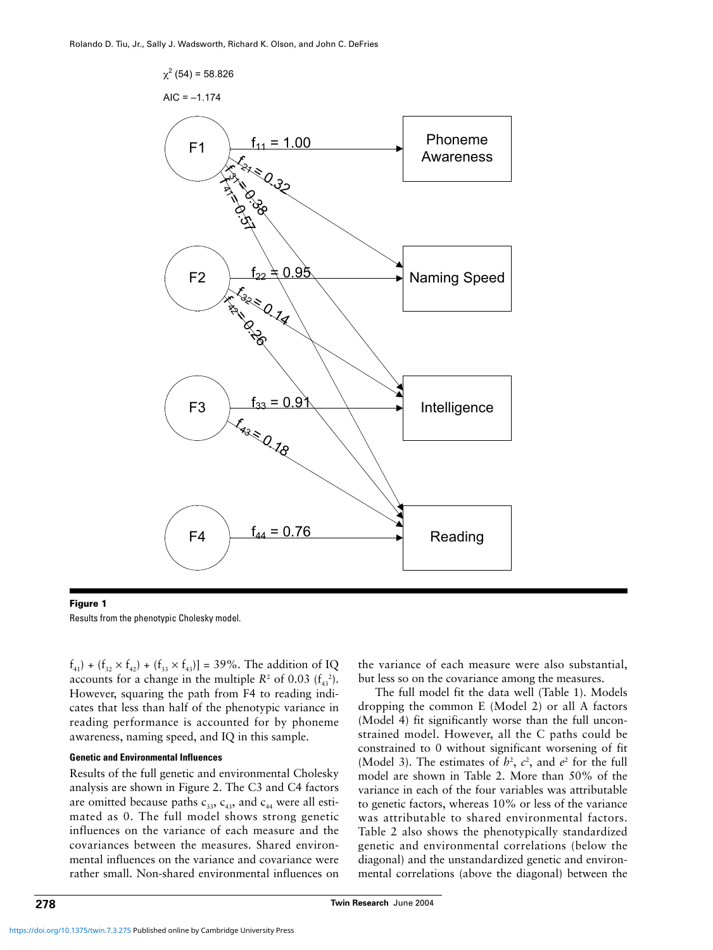

#### **Figure 1**

Results from the phenotypic Cholesky model.

 $f_{41}$ ) + ( $f_{32} \times f_{42}$ ) + ( $f_{33} \times f_{43}$ )] = 39%. The addition of IQ accounts for a change in the multiple  $R^2$  of 0.03  $(f_{43}^2)$ . However, squaring the path from F4 to reading indicates that less than half of the phenotypic variance in reading performance is accounted for by phoneme awareness, naming speed, and IQ in this sample.

## **Genetic and Environmental Influences**

Results of the full genetic and environmental Cholesky analysis are shown in Figure 2. The C3 and C4 factors are omitted because paths  $c_{33}$ ,  $c_{43}$ , and  $c_{44}$  were all estimated as 0. The full model shows strong genetic influences on the variance of each measure and the covariances between the measures. Shared environmental influences on the variance and covariance were rather small. Non-shared environmental influences on the variance of each measure were also substantial, but less so on the covariance among the measures.

The full model fit the data well (Table 1). Models dropping the common E (Model 2) or all A factors (Model 4) fit significantly worse than the full unconstrained model. However, all the C paths could be constrained to 0 without significant worsening of fit (Model 3). The estimates of  $h^2$ ,  $c^2$ , and  $e^2$  for the full model are shown in Table 2. More than 50% of the variance in each of the four variables was attributable to genetic factors, whereas 10% or less of the variance was attributable to shared environmental factors. Table 2 also shows the phenotypically standardized genetic and environmental correlations (below the diagonal) and the unstandardized genetic and environmental correlations (above the diagonal) between the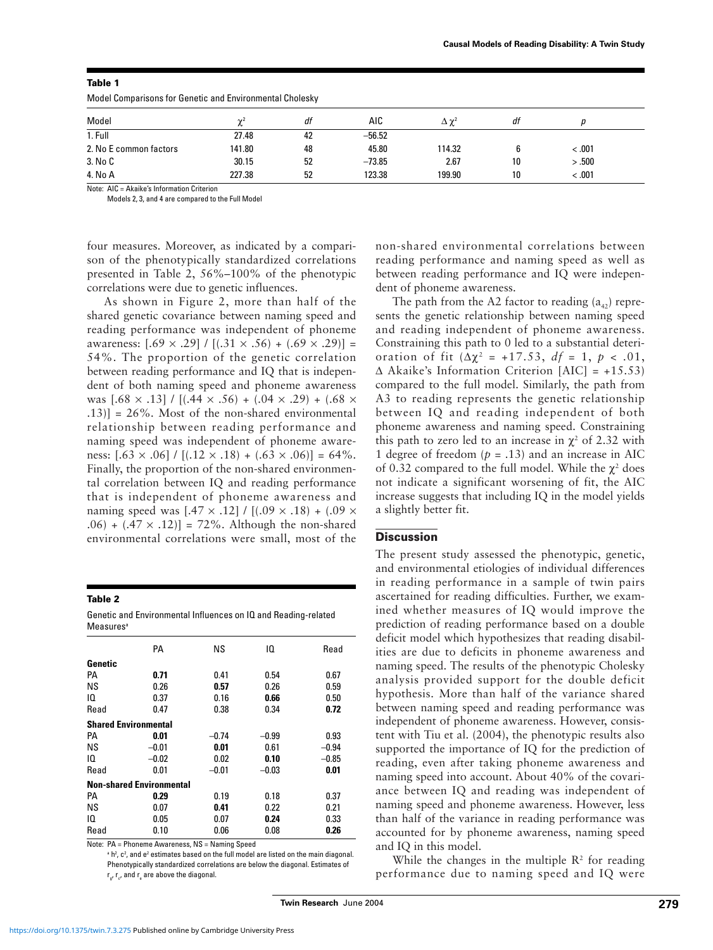| Model Comparisons for Genetic and Environmental Cholesky |                       |    |          |                   |    |        |  |  |
|----------------------------------------------------------|-----------------------|----|----------|-------------------|----|--------|--|--|
| Model                                                    | $\gamma$ <sup>2</sup> | df | AIC      | $\Delta \gamma^2$ | dt |        |  |  |
| 1. Full                                                  | 27.48                 | 42 | $-56.52$ |                   |    |        |  |  |
| 2. No E common factors                                   | 141.80                | 48 | 45.80    | 114.32            |    | < 0.01 |  |  |
| 3. No C                                                  | 30.15                 | 52 | $-73.85$ | 2.67              | 10 | > .500 |  |  |
| 4. No A                                                  | 227.38                | 52 | 123.38   | 199.90            | 10 | < .001 |  |  |

#### **Table 1**

Note: AIC = Akaike's Information Criterion

Models 2, 3, and 4 are compared to the Full Model

four measures. Moreover, as indicated by a comparison of the phenotypically standardized correlations presented in Table 2, 56%–100% of the phenotypic correlations were due to genetic influences.

As shown in Figure 2, more than half of the shared genetic covariance between naming speed and reading performance was independent of phoneme awareness:  $[0.69 \times 0.29] / [(0.31 \times 0.56) + (0.69 \times 0.29)] =$ 54%. The proportion of the genetic correlation between reading performance and IQ that is independent of both naming speed and phoneme awareness was  $(.68 \times .13) / [(.44 \times .56) + (.04 \times .29) + (.68 \times )$ .13)] = 26%. Most of the non-shared environmental relationship between reading performance and naming speed was independent of phoneme awareness:  $[0.63 \times 0.06] / [(0.12 \times 0.18) + (0.63 \times 0.06)] = 64\%$ . Finally, the proportion of the non-shared environmental correlation between IQ and reading performance that is independent of phoneme awareness and naming speed was  $[.47 \times .12] / [(.09 \times .18) + (.09 \times )$ .06) +  $(.47 \times .12)$ ] = 72%. Although the non-shared environmental correlations were small, most of the

**Table 2**

| Genetic and Environmental Influences on IQ and Reading-related |  |
|----------------------------------------------------------------|--|
| Measures <sup>a</sup>                                          |  |

|                                 | PA      | ΝS      | 10      | Read    |  |  |  |  |
|---------------------------------|---------|---------|---------|---------|--|--|--|--|
| Genetic                         |         |         |         |         |  |  |  |  |
| PА                              | 0.71    | 0.41    | 0.54    | 0.67    |  |  |  |  |
| ΝS                              | 0.26    | 0.57    | 0.26    | 0.59    |  |  |  |  |
| 10                              | 0.37    | 0.16    | 0.66    | 0.50    |  |  |  |  |
| Read                            | 0.47    | 0.38    | 0.34    | 0.72    |  |  |  |  |
| <b>Shared Environmental</b>     |         |         |         |         |  |  |  |  |
| PА                              | 0.01    | $-0.74$ | $-0.99$ | 0.93    |  |  |  |  |
| <b>NS</b>                       | $-0.01$ | 0.01    | 0.61    | $-0.94$ |  |  |  |  |
| 10                              | $-0.02$ | 0.02    | 0.10    | $-0.85$ |  |  |  |  |
| Read                            | 0.01    | $-0.01$ | $-0.03$ | 0.01    |  |  |  |  |
| <b>Non-shared Environmental</b> |         |         |         |         |  |  |  |  |
| PA                              | 0.29    | 0.19    | 0.18    | 0.37    |  |  |  |  |
| ΝS                              | 0.07    | 0.41    | 0.22    | 0.21    |  |  |  |  |
| 10                              | 0.05    | 0.07    | 0.24    | 0.33    |  |  |  |  |
| Read                            | 0.10    | 0.06    | 0.08    | 0.26    |  |  |  |  |

Note: PA = Phoneme Awareness, NS = Naming Speed

<sup>a</sup> h<sup>2</sup>, c<sup>2</sup>, and e<sup>2</sup> estimates based on the full model are listed on the main diagonal. Phenotypically standardized correlations are below the diagonal. Estimates of  $r_{\alpha}$ ,  $r_{\gamma}$ , and  $r_{\alpha}$  are above the diagonal.

non-shared environmental correlations between reading performance and naming speed as well as between reading performance and IQ were independent of phoneme awareness.

The path from the A2 factor to reading  $(a_{42})$  represents the genetic relationship between naming speed and reading independent of phoneme awareness. Constraining this path to 0 led to a substantial deterioration of fit ( $Δχ² = +17.53$ ,  $df = 1$ ,  $p < .01$ , ∆ Akaike's Information Criterion [AIC] = +15.53) compared to the full model. Similarly, the path from A3 to reading represents the genetic relationship between IQ and reading independent of both phoneme awareness and naming speed. Constraining this path to zero led to an increase in  $\chi^2$  of 2.32 with 1 degree of freedom  $(p = .13)$  and an increase in AIC of 0.32 compared to the full model. While the  $\chi^2$  does not indicate a significant worsening of fit, the AIC increase suggests that including IQ in the model yields a slightly better fit.

# **Discussion**

The present study assessed the phenotypic, genetic, and environmental etiologies of individual differences in reading performance in a sample of twin pairs ascertained for reading difficulties. Further, we examined whether measures of IQ would improve the prediction of reading performance based on a double deficit model which hypothesizes that reading disabilities are due to deficits in phoneme awareness and naming speed. The results of the phenotypic Cholesky analysis provided support for the double deficit hypothesis. More than half of the variance shared between naming speed and reading performance was independent of phoneme awareness. However, consistent with Tiu et al. (2004), the phenotypic results also supported the importance of IQ for the prediction of reading, even after taking phoneme awareness and naming speed into account. About 40% of the covariance between IQ and reading was independent of naming speed and phoneme awareness. However, less than half of the variance in reading performance was accounted for by phoneme awareness, naming speed and IQ in this model.

While the changes in the multiple  $\mathbb{R}^2$  for reading performance due to naming speed and IQ were

**Twin Research** June 2004 **279**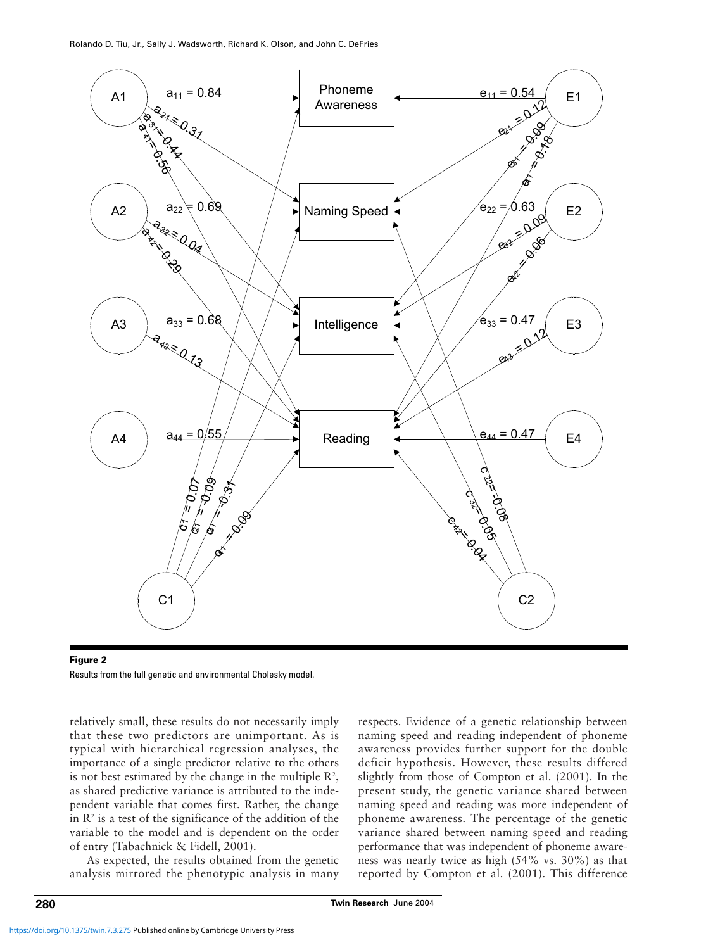

**Figure 2** Results from the full genetic and environmental Cholesky model.

relatively small, these results do not necessarily imply that these two predictors are unimportant. As is typical with hierarchical regression analyses, the importance of a single predictor relative to the others is not best estimated by the change in the multiple  $\mathbb{R}^2$ , as shared predictive variance is attributed to the independent variable that comes first. Rather, the change in  $\mathbb{R}^2$  is a test of the significance of the addition of the variable to the model and is dependent on the order of entry (Tabachnick & Fidell, 2001).

As expected, the results obtained from the genetic analysis mirrored the phenotypic analysis in many respects. Evidence of a genetic relationship between naming speed and reading independent of phoneme awareness provides further support for the double deficit hypothesis. However, these results differed slightly from those of Compton et al. (2001). In the present study, the genetic variance shared between naming speed and reading was more independent of phoneme awareness. The percentage of the genetic variance shared between naming speed and reading performance that was independent of phoneme awareness was nearly twice as high (54% vs. 30%) as that reported by Compton et al. (2001). This difference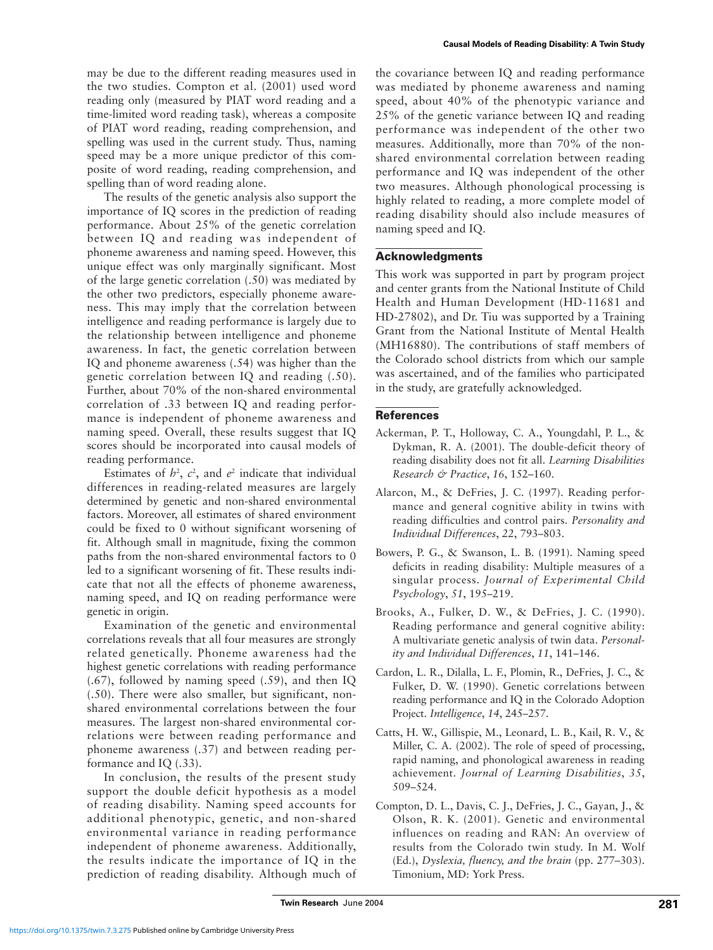may be due to the different reading measures used in the two studies. Compton et al. (2001) used word reading only (measured by PIAT word reading and a time-limited word reading task), whereas a composite of PIAT word reading, reading comprehension, and spelling was used in the current study. Thus, naming speed may be a more unique predictor of this composite of word reading, reading comprehension, and spelling than of word reading alone.

The results of the genetic analysis also support the importance of IQ scores in the prediction of reading performance. About 25% of the genetic correlation between IQ and reading was independent of phoneme awareness and naming speed. However, this unique effect was only marginally significant. Most of the large genetic correlation (.50) was mediated by the other two predictors, especially phoneme awareness. This may imply that the correlation between intelligence and reading performance is largely due to the relationship between intelligence and phoneme awareness. In fact, the genetic correlation between IQ and phoneme awareness (.54) was higher than the genetic correlation between IQ and reading (.50). Further, about 70% of the non-shared environmental correlation of .33 between IQ and reading performance is independent of phoneme awareness and naming speed. Overall, these results suggest that IQ scores should be incorporated into causal models of reading performance.

Estimates of  $h^2$ ,  $c^2$ , and  $e^2$  indicate that individual differences in reading-related measures are largely determined by genetic and non-shared environmental factors. Moreover, all estimates of shared environment could be fixed to 0 without significant worsening of fit. Although small in magnitude, fixing the common paths from the non-shared environmental factors to 0 led to a significant worsening of fit. These results indicate that not all the effects of phoneme awareness, naming speed, and IQ on reading performance were genetic in origin.

Examination of the genetic and environmental correlations reveals that all four measures are strongly related genetically. Phoneme awareness had the highest genetic correlations with reading performance (.67), followed by naming speed (.59), and then IQ (.50). There were also smaller, but significant, nonshared environmental correlations between the four measures. The largest non-shared environmental correlations were between reading performance and phoneme awareness (.37) and between reading performance and IQ (.33).

In conclusion, the results of the present study support the double deficit hypothesis as a model of reading disability. Naming speed accounts for additional phenotypic, genetic, and non-shared environmental variance in reading performance independent of phoneme awareness. Additionally, the results indicate the importance of IQ in the prediction of reading disability. Although much of the covariance between IQ and reading performance was mediated by phoneme awareness and naming speed, about 40% of the phenotypic variance and 25% of the genetic variance between IQ and reading performance was independent of the other two measures. Additionally, more than 70% of the nonshared environmental correlation between reading performance and IQ was independent of the other two measures. Although phonological processing is highly related to reading, a more complete model of reading disability should also include measures of naming speed and IQ.

## **Acknowledgments**

This work was supported in part by program project and center grants from the National Institute of Child Health and Human Development (HD-11681 and HD-27802), and Dr. Tiu was supported by a Training Grant from the National Institute of Mental Health (MH16880). The contributions of staff members of the Colorado school districts from which our sample was ascertained, and of the families who participated in the study, are gratefully acknowledged.

# **References**

- Ackerman, P. T., Holloway, C. A., Youngdahl, P. L., & Dykman, R. A. (2001). The double-deficit theory of reading disability does not fit all. *Learning Disabilities Research & Practice*, *16*, 152–160.
- Alarcon, M., & DeFries, J. C. (1997). Reading performance and general cognitive ability in twins with reading difficulties and control pairs. *Personality and Individual Differences*, *22*, 793–803.
- Bowers, P. G., & Swanson, L. B. (1991). Naming speed deficits in reading disability: Multiple measures of a singular process. *Journal of Experimental Child Psychology*, *51*, 195–219.
- Brooks, A., Fulker, D. W., & DeFries, J. C. (1990). Reading performance and general cognitive ability: A multivariate genetic analysis of twin data. *Personality and Individual Differences*, *11*, 141–146.
- Cardon, L. R., Dilalla, L. F., Plomin, R., DeFries, J. C., & Fulker, D. W. (1990). Genetic correlations between reading performance and IQ in the Colorado Adoption Project. *Intelligence*, *14*, 245–257.
- Catts, H. W., Gillispie, M., Leonard, L. B., Kail, R. V., & Miller, C. A. (2002). The role of speed of processing, rapid naming, and phonological awareness in reading achievement. *Journal of Learning Disabilities*, *35*, 509–524.
- Compton, D. L., Davis, C. J., DeFries, J. C., Gayan, J., & Olson, R. K. (2001). Genetic and environmental influences on reading and RAN: An overview of results from the Colorado twin study. In M. Wolf (Ed.), *Dyslexia, fluency, and the brain* (pp. 277–303). Timonium, MD: York Press.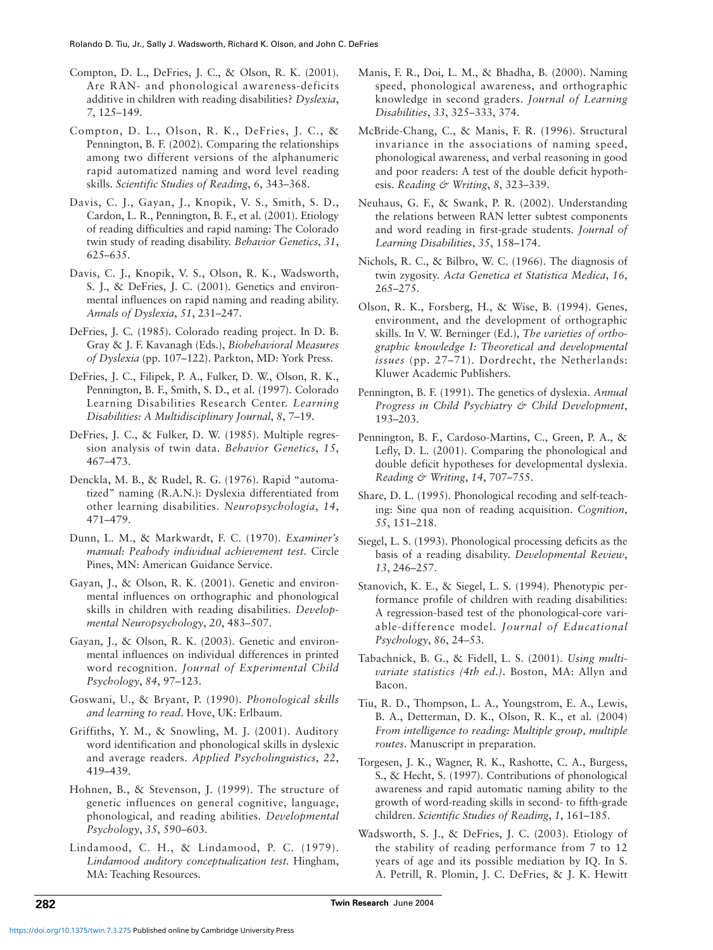- Compton, D. L., DeFries, J. C., & Olson, R. K. (2001). Are RAN- and phonological awareness-deficits additive in children with reading disabilities? *Dyslexia*, *7*, 125–149.
- Compton, D. L., Olson, R. K., DeFries, J. C., & Pennington, B. F. (2002). Comparing the relationships among two different versions of the alphanumeric rapid automatized naming and word level reading skills. *Scientific Studies of Reading*, *6*, 343–368.
- Davis, C. J., Gayan, J., Knopik, V. S., Smith, S. D., Cardon, L. R., Pennington, B. F., et al. (2001). Etiology of reading difficulties and rapid naming: The Colorado twin study of reading disability. *Behavior Genetics*, *31*, 625–635.
- Davis, C. J., Knopik, V. S., Olson, R. K., Wadsworth, S. J., & DeFries, J. C. (2001). Genetics and environmental influences on rapid naming and reading ability. *Annals of Dyslexia*, *51*, 231–247.
- DeFries, J. C. (1985). Colorado reading project. In D. B. Gray & J. F. Kavanagh (Eds.), *Biobehavioral Measures of Dyslexia* (pp. 107–122). Parkton, MD: York Press.
- DeFries, J. C., Filipek, P. A., Fulker, D. W., Olson, R. K., Pennington, B. F., Smith, S. D., et al. (1997). Colorado Learning Disabilities Research Center. *Learning Disabilities: A Multidisciplinary Journal*, *8*, 7–19.
- DeFries, J. C., & Fulker, D. W. (1985). Multiple regression analysis of twin data. *Behavior Genetics*, *15*, 467–473.
- Denckla, M. B., & Rudel, R. G. (1976). Rapid "automatized" naming (R.A.N.): Dyslexia differentiated from other learning disabilities. *Neuropsychologia*, *14*, 471–479.
- Dunn, L. M., & Markwardt, F. C. (1970). *Examiner's manual: Peabody individual achievement test*. Circle Pines, MN: American Guidance Service.
- Gayan, J., & Olson, R. K. (2001). Genetic and environmental influences on orthographic and phonological skills in children with reading disabilities. *Developmental Neuropsychology*, *20*, 483–507.
- Gayan, J., & Olson, R. K. (2003). Genetic and environmental influences on individual differences in printed word recognition. *Journal of Experimental Child Psychology*, *84*, 97–123.
- Goswani, U., & Bryant, P. (1990). *Phonological skills and learning to read*. Hove, UK: Erlbaum.
- Griffiths, Y. M., & Snowling, M. J. (2001). Auditory word identification and phonological skills in dyslexic and average readers. *Applied Psycholinguistics*, *22*, 419–439.
- Hohnen, B., & Stevenson, J. (1999). The structure of genetic influences on general cognitive, language, phonological, and reading abilities. *Developmental Psychology*, *35*, 590–603.
- Lindamood, C. H., & Lindamood, P. C. (1979). *Lindamood auditory conceptualization test.* Hingham, MA: Teaching Resources.
- Manis, F. R., Doi, L. M., & Bhadha, B. (2000). Naming speed, phonological awareness, and orthographic knowledge in second graders. *Journal of Learning Disabilities*, *33*, 325–333, 374.
- McBride-Chang, C., & Manis, F. R. (1996). Structural invariance in the associations of naming speed, phonological awareness, and verbal reasoning in good and poor readers: A test of the double deficit hypothesis. *Reading & Writing*, *8*, 323–339.
- Neuhaus, G. F., & Swank, P. R. (2002). Understanding the relations between RAN letter subtest components and word reading in first-grade students. *Journal of Learning Disabilities*, *35*, 158–174.
- Nichols, R. C., & Bilbro, W. C. (1966). The diagnosis of twin zygosity. *Acta Genetica et Statistica Medica*, *16*, 265–275.
- Olson, R. K., Forsberg, H., & Wise, B. (1994). Genes, environment, and the development of orthographic skills. In V. W. Berninger (Ed.), *The varieties of orthographic knowledge I: Theoretical and developmental issues* (pp. 27–71). Dordrecht, the Netherlands: Kluwer Academic Publishers.
- Pennington, B. F. (1991). The genetics of dyslexia. *Annual Progress in Child Psychiatry & Child Development*, 193–203.
- Pennington, B. F., Cardoso-Martins, C., Green, P. A., & Lefly, D. L. (2001). Comparing the phonological and double deficit hypotheses for developmental dyslexia. *Reading & Writing*, *14*, 707–755.
- Share, D. L. (1995). Phonological recoding and self-teaching: Sine qua non of reading acquisition. *Cognition*, *55*, 151–218.
- Siegel, L. S. (1993). Phonological processing deficits as the basis of a reading disability. *Developmental Review*, *13*, 246–257.
- Stanovich, K. E., & Siegel, L. S. (1994). Phenotypic performance profile of children with reading disabilities: A regression-based test of the phonological-core variable-difference model. *Journal of Educational Psychology*, *86*, 24–53.
- Tabachnick, B. G., & Fidell, L. S. (2001). *Using multivariate statistics (4th ed.)*. Boston, MA: Allyn and Bacon.
- Tiu, R. D., Thompson, L. A., Youngstrom, E. A., Lewis, B. A., Detterman, D. K., Olson, R. K., et al. (2004) *From intelligence to reading: Multiple group, multiple routes*. Manuscript in preparation.
- Torgesen, J. K., Wagner, R. K., Rashotte, C. A., Burgess, S., & Hecht, S. (1997). Contributions of phonological awareness and rapid automatic naming ability to the growth of word-reading skills in second- to fifth-grade children. *Scientific Studies of Reading*, *1*, 161–185.
- Wadsworth, S. J., & DeFries, J. C. (2003). Etiology of the stability of reading performance from 7 to 12 years of age and its possible mediation by IQ. In S. A. Petrill, R. Plomin, J. C. DeFries, & J. K. Hewitt

**282 Twin Research** June 2004